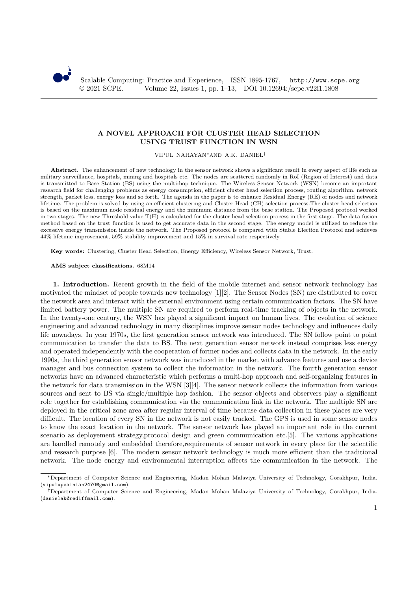

## **A NOVEL APPROACH FOR CLUSTER HEAD SELECTION USING TRUST FUNCTION IN WSN**

VIPUL NARAYAN∗AND A.K. DANIEL†

**Abstract.** The enhancement of new technology in the sensor network shows a significant result in every aspect of life such as military surveillance, hospitals, mining and hospitals etc. The nodes are scattered randomly in RoI (Region of Interest) and data is transmitted to Base Station (BS) using the multi-hop technique. The Wireless Sensor Network (WSN) become an important research field for challenging problems as energy consumption, efficient cluster head selection process, routing algorithm, network strength, packet loss, energy loss and so forth. The agenda in the paper is to enhance Residual Energy (RE) of nodes and network lifetime. The problem is solved by using an efficient clustering and Cluster Head (CH) selection process.The cluster head selection is based on the maximum node residual energy and the minimum distance from the base station. The Proposed protocol worked in two stages. The new Threshold value T(H) is calculated for the cluster head selection process in the first stage. The data fusion method based on the trust function is used to get accurate data in the second stage. The energy model is utilized to reduce the excessive energy transmission inside the network. The Proposed protocol is compared with Stable Election Protocol and achieves 44% lifetime improvement, 59% stability improvement and 15% in survival rate respectively.

**Key words:** Clustering, Cluster Head Selection, Energy Efficiency, Wireless Sensor Network, Trust.

## **AMS subject classifications.** 68M14

**1. Introduction.** Recent growth in the field of the mobile internet and sensor network technology has motivated the mindset of people towards new technology [1][2]. The Sensor Nodes (SN) are distributed to cover the network area and interact with the external environment using certain communication factors. The SN have limited battery power. The multiple SN are required to perform real-time tracking of objects in the network. In the twenty-one century, the WSN has played a significant impact on human lives. The evolution of science engineering and advanced technology in many disciplines improve sensor nodes technology and influences daily life nowadays. In year 1970s, the first generation sensor network was introduced. The SN follow point to point communication to transfer the data to BS. The next generation sensor network instead comprises less energy and operated independently with the cooperation of former nodes and collects data in the network. In the early 1990s, the third generation sensor network was introduced in the market with advance features and use a device manager and bus connection system to collect the information in the network. The fourth generation sensor networks have an advanced characteristic which performs a multi-hop approach and self-organizing features in the network for data transmission in the WSN [3][4]. The sensor network collects the information from various sources and sent to BS via single/multiple hop fashion. The sensor objects and observers play a significant role together for establishing communication via the communication link in the network. The multiple SN are deployed in the critical zone area after regular interval of time because data collection in these places are very difficult. The location of every SN in the network is not easily tracked. The GPS is used in some sensor nodes to know the exact location in the network. The sensor network has played an important role in the current scenario as deployement strategy,protocol design and green communication etc.[5]. The various applications are handled remotely and embedded therefore,requirements of sensor network in every place for the scientific and research purpose [6]. The modern sensor network technology is much more efficient than the traditional network. The node energy and environmental interruption affects the communication in the network. The

<sup>∗</sup>Department of Computer Science and Engineering, Madan Mohan Malaviya University of Technology, Gorakhpur, India. (vipulupsainian2470@gmail.com).

<sup>†</sup>Department of Computer Science and Engineering, Madan Mohan Malaviya University of Technology, Gorakhpur, India. (danielak@rediffmail.com).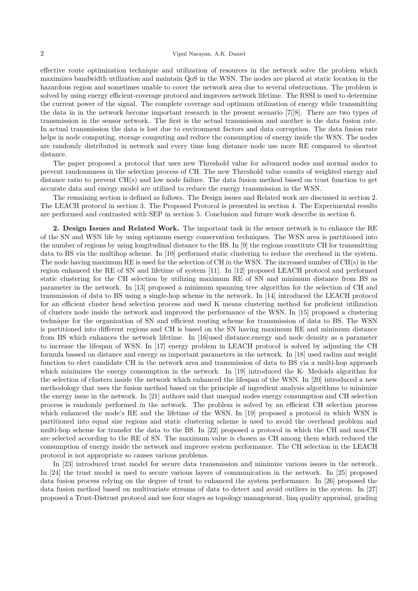effective route optimization technique and utilization of resources in the network solve the problem which maximizes bandwidth utilization and maintain QoS in the WSN. The nodes are placed at static location in the hazardous region and sometimes unable to cover the network area due to several obstructions. The problem is solved by using energy efficient-coverage protocol and improves network lifetime. The RSSI is used to determine the current power of the signal. The complete coverage and optimum utilization of energy while transmitting the data in in the network become important research in the present scenario [7][8]. There are two types of transmission in the sensor network. The first is the actual transmission and another is the data fusion rate. In actual transmission the data is lost due to environment factors and data corruption. The data fusion rate helps in node computing, storage computing and reduce the consumption of energy inside the WSN. The nodes are randomly distributed in network and every time long distance node use more RE compared to shortest distance.

The paper proposed a protocol that uses new Threshold value for advanced nodes and normal nodes to prevent randonmness in the selection process of CH. The new Threshold value consits of weighted energy and distance ratio to prevent CH(s) and low node failure. The data fusion method based on trust function to get accurate data and energy model are utilized to reduce the energy transmission in the WSN.

The remaining section is defined as follows. The Design issues and Related work are discussed in section 2. The LEACH protocol in section 3. The Proposed Protocol is presented in section 4. The Experimental results are performed and contrasted with SEP in section 5. Conclusion and future work describe in section 6.

**2. Design Issues and Related Work.** The important task in the sensor network is to enhance the RE of the SN and WSN life by using optimum energy conservation techniques. The WSN area is partitioned into the number of regions by using longitudinal distance to the BS. In [9] the regions constitute CH for transmitting data to BS via the multihop scheme. In [10] performed static clustering to reduce the overhead in the system. The node having maximum RE is used for the selection of CH in the WSN. The increased number of CH(s) in the region enhanced the RE of SN and lifetime of system [11]. In [12] proposed LEACH protocol and performed static clustering for the CH selection by utilizing maximum RE of SN and minimum distance from BS as parameter in the network. In [13] proposed a minimum spanning tree algorithm for the selection of CH and transmission of data to BS using a single-hop scheme in the network. In [14] introduced the LEACH protocol for an efficient cluster head selection process and used K means clustering method for proficient utilization of clusters node inside the network and improved the performance of the WSN. In [15] proposed a clustering technique for the organization of SN and efficient routing scheme for transmission of data to BS. The WSN is partitioned into different regions and CH is based on the SN having maximum RE and minimum distance from BS which enhances the network lifetime. In [16]used distance,energy and node density as a parameter to increase the lifespan of WSN. In [17] energy problem in LEACH protocol is solved by adjusting the CH formula bassed on distance and energy as important parameters in the network. In [18] used radius and weight function to elect candidate CH in the network area and transmission of data to BS via a multi-hop approach which minimizes the energy consumption in the network. In [19] introduced the K- Medoids algorithm for the selection of clusters inside the network which enhanced the lifespan of the WSN. In [20] introduced a new methodology that uses the fusion method based on the principle of ingredient analysis algorithms to minimize the energy issue in the network. In [21] authors said that unequal nodes energy consumption and CH selection process is randomly performed in the network. The problem is solved by an efficient CH selection process which enhanced the node's RE and the lifetime of the WSN. In [19] proposed a protocol in which WSN is partitioned into equal size regions and static clustering scheme is used to avoid the overhead problem and multi-hop scheme for transfer the data to the BS. In [22] proposed a protocol in which the CH and non-CH are selected according to the RE of SN. The maximum value is chosen as CH among them which reduced the consumption of energy inside the network and improve system performance. The CH selection in the LEACH protocol is not appropriate so causes various problems.

In [23] introduced trust model for secure data transmission and minimize various issues in the network. In [24] the trust model is used to secure various layers of communication in the network. In [25] proposed data fusion process relying on the degree of trust to enhanced the system performance. In [26] proposed the data fusion method based on multivariate streams of data to detect and avoid outliers in the system. In [27] proposed a Trust-Distrust protocol and use four stages as topology management, linq quality appraisal, grading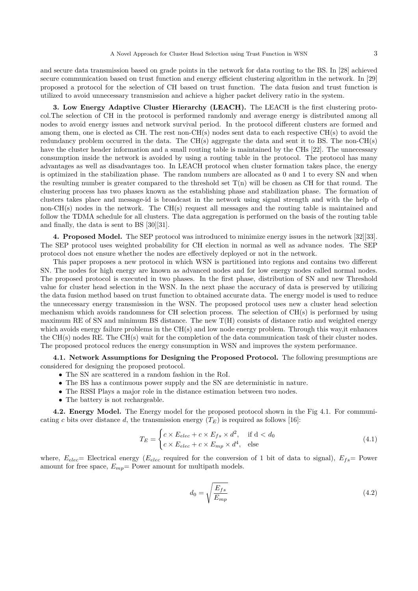and secure data transmission based on grade points in the network for data routing to the BS. In [28] achieved secure communication based on trust function and energy efficient clustering algorithm in the network. In [29] proposed a protocol for the selection of CH based on trust function. The data fusion and trust function is utilized to avoid unnecessary transmission and achieve a higher packet delivery ratio in the system.

**3. Low Energy Adaptive Cluster Hierarchy (LEACH).** The LEACH is the first clustering protocol.The selection of CH in the protocol is performed randomly and average energy is distributed among all nodes to avoid energy issues and network survival period. In the protocol different clusters are formed and among them, one is elected as CH. The rest non-CH(s) nodes sent data to each respective CH(s) to avoid the redundancy problem occurred in the data. The CH(s) aggregate the data and sent it to BS. The non-CH(s) have the cluster header information and a small routing table is maintained by the CHs [22]. The unnecessary consumption inside the network is avoided by using a routing table in the protocol. The protocol has many advantages as well as disadvantages too. In LEACH protocol when cluster formation takes place, the energy is optimized in the stabilization phase. The random numbers are allocated as 0 and 1 to every SN and when the resulting number is greater compared to the threshold set  $T(n)$  will be chosen as CH for that round. The clustering process has two phases known as the establishing phase and stabilization phase. The formation of clusters takes place and message-id is broadcast in the network using signal strength and with the help of non-CH(s) nodes in the network. The CH(s) request all messages and the routing table is maintained and follow the TDMA schedule for all clusters. The data aggregation is performed on the basis of the routing table and finally, the data is sent to BS [30][31].

**4. Proposed Model.** The SEP protocol was introduced to minimize energy issues in the network [32][33]. The SEP protocol uses weighted probability for CH election in normal as well as advance nodes. The SEP protocol does not ensure whether the nodes are effectively deployed or not in the network.

This paper proposes a new protocol in which WSN is partitioned into regions and contains two different SN. The nodes for high energy are known as advanced nodes and for low energy nodes called normal nodes. The proposed protocol is executed in two phases. In the first phase, distribution of SN and new Threshold value for cluster head selection in the WSN. In the next phase the accuracy of data is preserved by utilizing the data fusion method based on trust function to obtained accurate data. The energy model is used to reduce the unnecessary energy transmission in the WSN. The proposed protocol uses new a cluster head selection mechanism which avoids randomness for CH selection process. The selection of CH(s) is performed by using maximum RE of SN and minimum BS distance. The new  $T(H)$  consists of distance ratio and weighted energy which avoids energy failure problems in the CH(s) and low node energy problem. Through this way, it enhances the CH(s) nodes RE. The CH(s) wait for the completion of the data communication task of their cluster nodes. The proposed protocol reduces the energy consumption in WSN and improves the system performance.

**4.1. Network Assumptions for Designing the Proposed Protocol.** The following presumptions are considered for designing the proposed protocol.

- The SN are scattered in a random fashion in the RoI.
- The BS has a continuous power supply and the SN are deterministic in nature.
- The RSSI Plays a major role in the distance estimation between two nodes.
- The battery is not rechargeable.

**4.2. Energy Model.** The Energy model for the proposed protocol shown in the Fig 4.1. For communicating c bits over distance d, the transmission energy  $(T_E)$  is required as follows [16]:

$$
T_E = \begin{cases} c \times E_{elec} + c \times E_{fs} \times d^2, & \text{if } d < d_0 \\ c \times E_{elec} + c \times E_{mp} \times d^4, & \text{else} \end{cases} \tag{4.1}
$$

where,  $E_{elec}$  Electrical energy ( $E_{elec}$  required for the conversion of 1 bit of data to signal),  $E_{fs}$  Power amount for free space,  $E_{mp}$  Power amount for multipath models.

$$
d_0 = \sqrt{\frac{E_{fs}}{E_{mp}}} \tag{4.2}
$$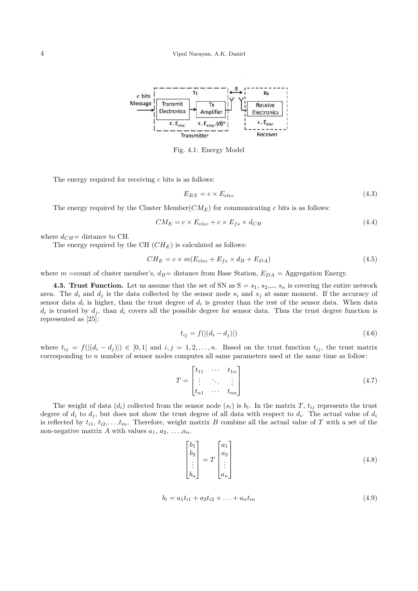

Fig. 4.1: Energy Model

The energy required for receiving  $c$  bits is as follows:

$$
E_{RX} = c \times E_{elec} \tag{4.3}
$$

The energy required by the Cluster Member( $CM_E$ ) for communicating c bits is as follows:

$$
CM_E = c \times E_{elec} + c \times E_{fs} \times d_{CH}
$$
\n
$$
(4.4)
$$

where  $d_{CH}$ = distance to CH.

The energy required by the CH  $(CH_E)$  is calculated as follows:

$$
CH_E = c \times m(E_{elec} + E_{fs} \times d_B + E_{DA})
$$
\n
$$
(4.5)
$$

where m =count of cluster member's,  $d_B$ = distance from Base Station,  $E_{DA}$  = Aggregation Energy.

**4.3. Trust Function.** Let us assume that the set of SN as  $S = s_1, s_2, ..., s_n$  is covering the entire network area. The  $d_i$  and  $d_j$  is the data collected by the sensor node  $s_i$  and  $s_j$  at same moment. If the accuracy of sensor data  $d_i$  is higher, than the trust degree of  $d_i$  is greater than the rest of the sensor data. When data  $d_i$  is trusted by  $d_j$ , than  $d_i$  covers all the possible degree for sensor data. Thus the trust degree function is represented as [25]:

$$
t_{ij} = f(|(d_i - d_j)|) \tag{4.6}
$$

where  $t_{ij} = f((d_i - d_j)) \in [0,1]$  and  $i, j = 1, 2, \ldots, n$ . Based on the trust function  $t_{ij}$ , the trust matrix corresponding to n number of sensor nodes computes all same parameters used at the same time as follow:

$$
T = \begin{bmatrix} t_{11} & \cdots & t_{1n} \\ \vdots & \ddots & \vdots \\ t_{n1} & \cdots & t_{nn} \end{bmatrix}
$$
 (4.7)

The weight of data  $(d_i)$  collected from the sensor node  $(s_i)$  is  $b_i$ . In the matrix T,  $t_{ij}$  represents the trust degree of  $d_i$  to  $d_j$ , but does not show the trust degree of all data with respect to  $d_i$ . The actual value of  $d_i$ is reflected by  $t_{i1}, t_{i2}, \ldots, t_{in}$ . Therefore, weight matrix B combine all the actual value of T with a set of the non-negative matrix A with values  $a_1, a_2, \ldots, a_n$ .

$$
\begin{bmatrix} b_1 \\ b_2 \\ \vdots \\ b_n \end{bmatrix} = T \begin{bmatrix} a_1 \\ a_2 \\ \vdots \\ a_n \end{bmatrix}
$$
 (4.8)

$$
b_i = a_1 t_{i1} + a_2 t_{i2} + \ldots + a_n t_{in}
$$
\n
$$
(4.9)
$$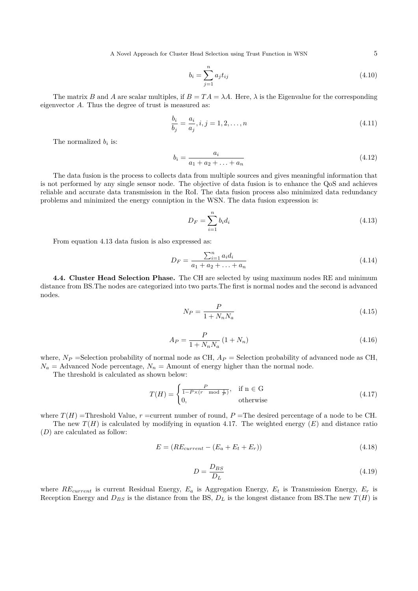A Novel Approach for Cluster Head Selection using Trust Function in WSN 5

$$
b_i = \sum_{j=1}^{n} a_j t_{ij}
$$
\n(4.10)

The matrix B and A are scalar multiples, if  $B = TA = \lambda A$ . Here,  $\lambda$  is the Eigenvalue for the corresponding eigenvector A. Thus the degree of trust is measured as:

$$
\frac{b_i}{b_j} = \frac{a_i}{a_j}, i, j = 1, 2, \dots, n
$$
\n(4.11)

The normalized  $b_i$  is:

$$
b_i = \frac{a_i}{a_1 + a_2 + \ldots + a_n} \tag{4.12}
$$

The data fusion is the process to collects data from multiple sources and gives meaningful information that is not performed by any single sensor node. The objective of data fusion is to enhance the QoS and achieves reliable and accurate data transmission in the RoI. The data fusion process also minimized data redundancy problems and minimized the energy conniption in the WSN. The data fusion expression is:

$$
D_F = \sum_{i=1}^{n} b_i d_i \tag{4.13}
$$

From equation 4.13 data fusion is also expressed as:

$$
D_F = \frac{\sum_{i=1}^{n} a_i d_i}{a_1 + a_2 + \dots + a_n} \tag{4.14}
$$

**4.4. Cluster Head Selection Phase.** The CH are selected by using maximum nodes RE and minimum distance from BS.The nodes are categorized into two parts.The first is normal nodes and the second is advanced nodes.

$$
N_P = \frac{P}{1 + N_n N_a} \tag{4.15}
$$

$$
A_P = \frac{P}{1 + N_n N_a} (1 + N_n) \tag{4.16}
$$

where,  $N_P$  =Selection probability of normal node as CH,  $A_P$  = Selection probability of advanced node as CH,  $N_a$  = Advanced Node percentage,  $N_n$  = Amount of energy higher than the normal node.

The threshold is calculated as shown below:

$$
T(H) = \begin{cases} \frac{P}{1 - P \times (r \mod \frac{1}{P})}, & \text{if } n \in G \\ 0, & \text{otherwise} \end{cases}
$$
 (4.17)

where  $T(H)$  =Threshold Value, r =current number of round, P =The desired percentage of a node to be CH.

The new  $T(H)$  is calculated by modifying in equation 4.17. The weighted energy  $(E)$  and distance ratio  $(D)$  are calculated as follow:

$$
E = (RE_{current} - (E_a + E_t + E_r))
$$
\n
$$
(4.18)
$$

$$
D = \frac{D_{BS}}{D_L} \tag{4.19}
$$

where  $RE_{current}$  is current Residual Energy,  $E_a$  is Aggregation Energy,  $E_t$  is Transmission Energy,  $E_r$  is Reception Energy and  $D_{BS}$  is the distance from the BS,  $D_L$  is the longest distance from BS. The new  $T(H)$  is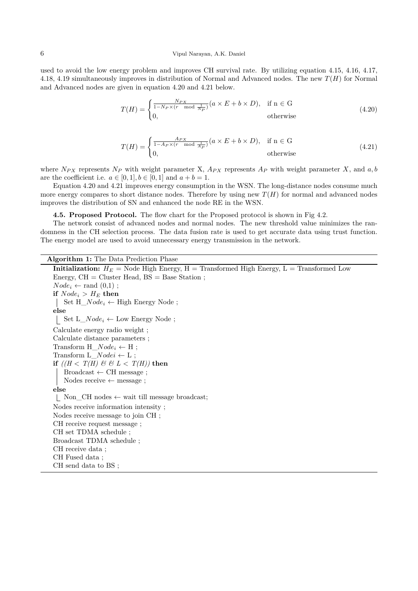## 6 Vipul Narayan, A.K. Daniel

used to avoid the low energy problem and improves CH survival rate. By utilizing equation 4.15, 4.16, 4.17, 4.18, 4.19 simultaneously improves in distribution of Normal and Advanced nodes. The new  $T(H)$  for Normal and Advanced nodes are given in equation 4.20 and 4.21 below.

$$
T(H) = \begin{cases} \frac{N_{PX}}{1 - N_P \times (r \mod \frac{1}{N_P})} (a \times E + b \times D), & \text{if } n \in G \\ 0, & \text{otherwise} \end{cases}
$$
(4.20)

$$
T(H) = \begin{cases} \frac{A_{PX}}{1 - A_P \times (r \mod \frac{1}{A_P})} (a \times E + b \times D), & \text{if } n \in \mathcal{G} \\ 0, & \text{otherwise} \end{cases}
$$
(4.21)

where  $N_{PX}$  represents  $N_P$  with weight parameter X,  $A_{PX}$  represents  $A_P$  with weight parameter X, and a, b are the coefficient i.e.  $a \in [0,1], b \in [0,1]$  and  $a + b = 1$ .

Equation 4.20 and 4.21 improves energy consumption in the WSN. The long-distance nodes consume much more energy compares to short distance nodes. Therefore by using new  $T(H)$  for normal and advanced nodes improves the distribution of SN and enhanced the node RE in the WSN.

**4.5. Proposed Protocol.** The flow chart for the Proposed protocol is shown in Fig 4.2.

The network consist of advanced nodes and normal nodes. The new threshold value minimizes the randomness in the CH selection process. The data fusion rate is used to get accurate data using trust function. The energy model are used to avoid unnecessary energy transmission in the network.

**Algorithm 1:** The Data Prediction Phase

**Initialization:**  $H_E$  = Node High Energy, H = Transformed High Energy, L = Transformed Low Energy,  $CH = Cluster Head, BS = Base Station;$  $Node_i \leftarrow \text{rand}(0,1)$ ; **if**  $Node_i > H_E$  **then** Set  $H_Node_i \leftarrow$  High Energy Node; **else** Set  $L_Node_i \leftarrow Low Energy Node;$ Calculate energy radio weight ; Calculate distance parameters ; Transform  $H_Node_i \leftarrow H$ ; Transform  $L_Nodei \leftarrow L$ ; **if**  $((H < T(H) \& H \& L < T(H))$  then  $Broadcast \leftarrow CH message;$ Nodes receive  $\leftarrow$  message; **else** Non\_CH nodes ← wait till message broadcast; Nodes receive information intensity ; Nodes receive message to join CH ; CH receive request message ; CH set TDMA schedule ; Broadcast TDMA schedule ; CH receive data ; CH Fused data ; CH send data to BS ;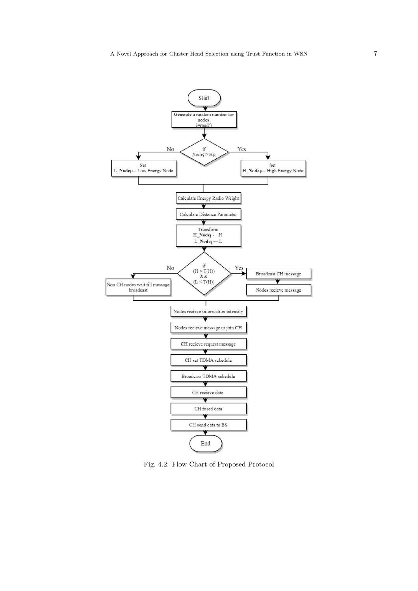

Fig. 4.2: Flow Chart of Proposed Protocol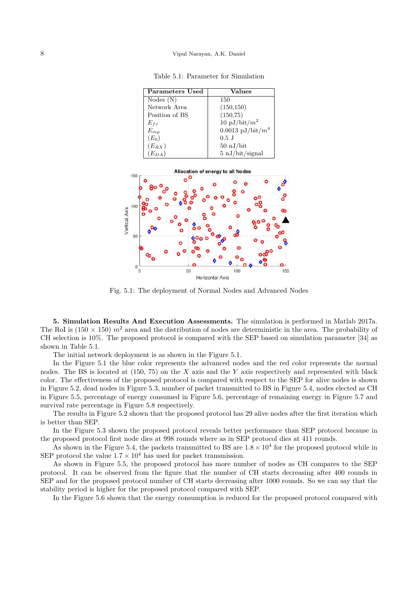Table 5.1: Parameter for Simulation

| Parameters Used | <b>Values</b>                |
|-----------------|------------------------------|
| Nodes(N)        | 150                          |
| Network Area    | (150, 150)                   |
| Position of BS  | (150, 75)                    |
| $E_{fs}$        | 10 pJ/bit/ $m^2$             |
| $E_{mp}$        | 0.0013 pJ/bit/ $m^4$         |
| $(E_0)$         | $0.5$ J                      |
| $(E_{RX})$      | $50 \mathrm{nJ/bit}$         |
| $(E_{DA})$      | $5 \n\mathrm{nJ/bit/signal}$ |



Fig. 5.1: The deployment of Normal Nodes and Advanced Nodes

**5. Simulation Results And Execution Assessments.** The simulation is performed in Matlab 2017a. The RoI is (150  $\times$  150)  $m^2$  area and the distribution of nodes are deterministic in the area. The probability of CH selection is 10%. The proposed protocol is compared with the SEP based on simulation parameter [34] as shown in Table 5.1.

The initial network deployment is as shown in the Figure 5.1.

In the Figure 5.1 the blue color represents the advanced nodes and the red color represents the normal nodes. The BS is located at  $(150, 75)$  on the X axis and the Y axis respectively and represented with black color. The effectiveness of the proposed protocol is compared with respect to the SEP for alive nodes is shown in Figure 5.2, dead nodes in Figure 5.3, number of packet transmitted to BS in Figure 5.4, nodes elected as CH in Figure 5.5, percentage of energy consumed in Figure 5.6, percentage of remaining energy in Figure 5.7 and survival rate percentage in Figure 5.8 respectively.

The results in Figure 5.2 shown that the proposed protocol has 29 alive nodes after the first iteration which is better than SEP.

In the Figure 5.3 shown the proposed protocol reveals better performance than SEP protocol because in the proposed protocol first node dies at 998 rounds where as in SEP protocol dies at 411 rounds.

As shown in the Figure 5.4, the packets transmitted to BS are  $1.8 \times 10^4$  for the proposed protocol while in SEP protocol the value  $1.7 \times 10^4$  has used for packet transmission.

As shown in Figure 5.5, the proposed protocol has more number of nodes as CH compares to the SEP protocol. It can be observed from the figure that the number of CH starts decreasing after 400 rounds in SEP and for the proposed protocol number of CH starts decreasing after 1000 rounds. So we can say that the stability period is higher for the proposed protocol compared with SEP.

In the Figure 5.6 shown that the energy consumption is reduced for the proposed protocol compared with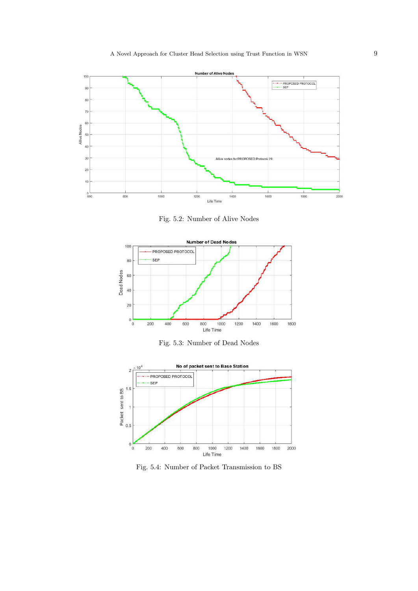

Fig. 5.2: Number of Alive Nodes







Fig. 5.4: Number of Packet Transmission to BS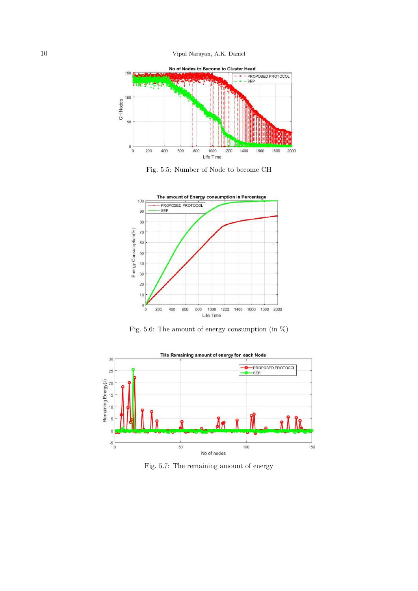10 Vipul Narayan, A.K. Daniel



Fig. 5.5: Number of Node to become CH



Fig. 5.6: The amount of energy consumption (in %)



Fig. 5.7: The remaining amount of energy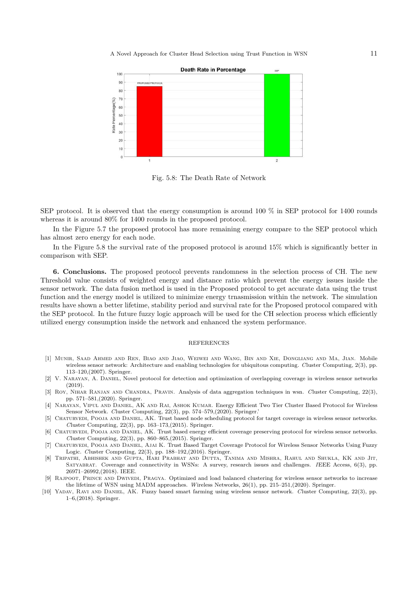A Novel Approach for Cluster Head Selection using Trust Function in WSN 11



Fig. 5.8: The Death Rate of Network

SEP protocol. It is observed that the energy consumption is around 100 % in SEP protocol for 1400 rounds whereas it is around  $80\%$  for 1400 rounds in the proposed protocol.

In the Figure 5.7 the proposed protocol has more remaining energy compare to the SEP protocol which has almost zero energy for each node.

In the Figure 5.8 the survival rate of the proposed protocol is around 15% which is significantly better in comparison with SEP.

**6. Conclusions.** The proposed protocol prevents randomness in the selection process of CH. The new Threshold value consists of weighted energy and distance ratio which prevent the energy issues inside the sensor network. The data fusion method is used in the Proposed protocol to get accurate data using the trust function and the energy model is utilized to minimize energy trnasmission within the network. The simulation results have shown a better lifetime, stability period and survival rate for the Proposed protocol compared with the SEP protocol. In the future fuzzy logic approach will be used for the CH selection process which efficiently utilized energy consumption inside the network and enhanced the system performance.

## REFERENCES

- [1] Munir, Saad Ahmed and Ren, Biao and Jiao, Weiwei and Wang, Bin and Xie, Dongliang and Ma, Jian. Mobile wireless sensor network: Architecture and enabling technologies for ubiquitous computing. *C*luster Computing, 2(3), pp. 113–120,(2007). Springer.
- [2] V. Narayan, A. Daniel, Novel protocol for detection and optimization of overlapping coverage in wireless sensor networks (2019).
- [3] Roy, Nihar Ranjan and Chandra, Pravin. Analysis of data aggregation techniques in wsn. *C*luster Computing, 22(3), pp. 571–581,(2020). Springer.
- [4] Narayan, Vipul and Daniel, AK and Rai, Ashok Kumar. Energy Efficient Two Tier Cluster Based Protocol for Wireless Sensor Network. *C*luster Computing, 22(3), pp. 574–579,(2020). Springer.'
- [5] CHATURVEDI, POOJA AND DANIEL, AK. Trust based node scheduling protocol for target coverage in wireless sensor networks. *C*luster Computing, 22(3), pp. 163–173,(2015). Springer.
- [6] Chaturvedi, Pooja and Daniel, AK. Trust based energy efficient coverage preserving protocol for wireless sensor networks. *C*luster Computing, 22(3), pp. 860–865,(2015). Springer.
- [7] Chaturvedi, Pooja and Daniel, Ajai K. Trust Based Target Coverage Protocol for Wireless Sensor Networks Using Fuzzy Logic. *C*luster Computing, 22(3), pp. 188–192,(2016). Springer.
- [8] Tripathi, Abhishek and Gupta, Hari Prabhat and Dutta, Tanima and Mishra, Rahul and Shukla, KK and Jit, Satyabrat. Coverage and connectivity in WSNs: A survey, research issues and challenges. *I*EEE Access, 6(3), pp. 26971–26992,(2018). IEEE.
- [9] RAJPOOT, PRINCE AND DWIVEDI, PRAGYA. Optimized and load balanced clustering for wireless sensor networks to increase the lifetime of WSN using MADM approaches. *W*ireless Networks, 26(1), pp. 215–251,(2020). Springer.
- [10] Yadav, Ravi and Daniel, AK. Fuzzy based smart farming using wireless sensor network. *C*luster Computing, 22(3), pp. 1–6,(2018). Springer.